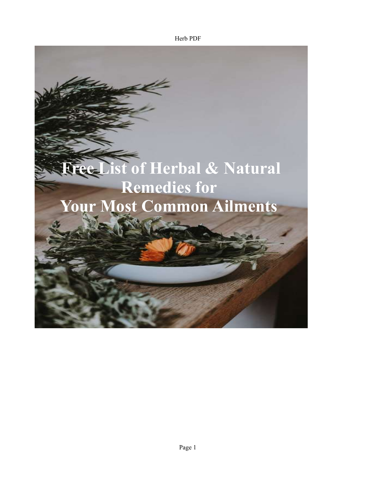Herb PDF

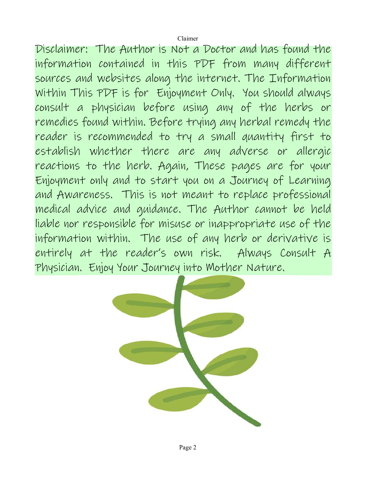Disclaimer: The Author is Not a Doctor and has found the information contained in this PDF from many different sources and websites along the internet. The Information Within This PDF is for Enjoyment Only. You should always consult a physician before using any of the herbs or remedies found within. Before trying any herbal remedy the reader is recommended to try a small quantity first to establish whether there are any adverse or allergic reactions to the herb. Again, These pages are for your Enjoyment only and to start you on a Journey of Learning and Awareness. This is not meant to replace professional medical advice and guidance. The Author cannot be held liable nor responsible for misuse or inappropriate use of the information within. The use of any herb or derivative is entirely at the reader's own risk. Always Consult A Physician. Enjoy Your Journey into Mother Nature.

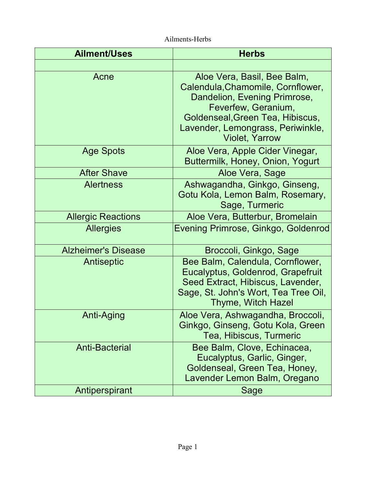| <b>Ailment/Uses</b>        | <b>Herbs</b>                                                                                                                                                                                                              |
|----------------------------|---------------------------------------------------------------------------------------------------------------------------------------------------------------------------------------------------------------------------|
|                            |                                                                                                                                                                                                                           |
| Acne                       | Aloe Vera, Basil, Bee Balm,<br>Calendula, Chamomile, Cornflower,<br>Dandelion, Evening Primrose,<br>Feverfew, Geranium,<br>Goldenseal, Green Tea, Hibiscus,<br>Lavender, Lemongrass, Periwinkle,<br><b>Violet, Yarrow</b> |
| <b>Age Spots</b>           | Aloe Vera, Apple Cider Vinegar,<br>Buttermilk, Honey, Onion, Yogurt                                                                                                                                                       |
| <b>After Shave</b>         | Aloe Vera, Sage                                                                                                                                                                                                           |
| <b>Alertness</b>           | Ashwagandha, Ginkgo, Ginseng,<br>Gotu Kola, Lemon Balm, Rosemary,<br>Sage, Turmeric                                                                                                                                       |
| <b>Allergic Reactions</b>  | Aloe Vera, Butterbur, Bromelain                                                                                                                                                                                           |
| <b>Allergies</b>           | Evening Primrose, Ginkgo, Goldenrod                                                                                                                                                                                       |
| <b>Alzheimer's Disease</b> | Broccoli, Ginkgo, Sage                                                                                                                                                                                                    |
| Antiseptic                 | Bee Balm, Calendula, Cornflower,<br>Eucalyptus, Goldenrod, Grapefruit<br>Seed Extract, Hibiscus, Lavender,<br>Sage, St. John's Wort, Tea Tree Oil,<br><b>Thyme, Witch Hazel</b>                                           |
| <b>Anti-Aging</b>          | Aloe Vera, Ashwagandha, Broccoli,<br>Ginkgo, Ginseng, Gotu Kola, Green<br>Tea, Hibiscus, Turmeric                                                                                                                         |
| <b>Anti-Bacterial</b>      | Bee Balm, Clove, Echinacea,<br>Eucalyptus, Garlic, Ginger,<br>Goldenseal, Green Tea, Honey,<br>Lavender Lemon Balm, Oregano                                                                                               |
| Antiperspirant             | Sage                                                                                                                                                                                                                      |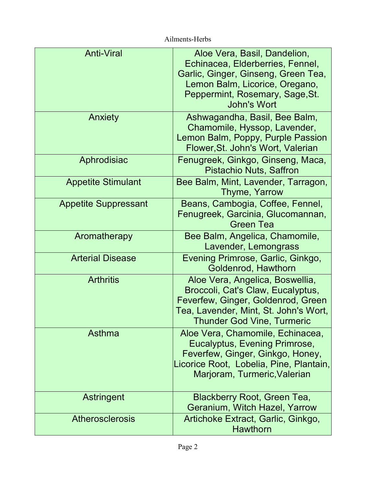| <b>Anti-Viral</b>           | Aloe Vera, Basil, Dandelion,<br>Echinacea, Elderberries, Fennel,<br>Garlic, Ginger, Ginseng, Green Tea,<br>Lemon Balm, Licorice, Oregano,<br>Peppermint, Rosemary, Sage, St.<br>John's Wort |
|-----------------------------|---------------------------------------------------------------------------------------------------------------------------------------------------------------------------------------------|
| Anxiety                     | Ashwagandha, Basil, Bee Balm,<br>Chamomile, Hyssop, Lavender,<br>Lemon Balm, Poppy, Purple Passion<br>Flower, St. John's Wort, Valerian                                                     |
| Aphrodisiac                 | Fenugreek, Ginkgo, Ginseng, Maca,<br><b>Pistachio Nuts, Saffron</b>                                                                                                                         |
| <b>Appetite Stimulant</b>   | Bee Balm, Mint, Lavender, Tarragon,<br>Thyme, Yarrow                                                                                                                                        |
| <b>Appetite Suppressant</b> | Beans, Cambogia, Coffee, Fennel,<br>Fenugreek, Garcinia, Glucomannan,<br><b>Green Tea</b>                                                                                                   |
| Aromatherapy                | Bee Balm, Angelica, Chamomile,<br>Lavender, Lemongrass                                                                                                                                      |
| <b>Arterial Disease</b>     | Evening Primrose, Garlic, Ginkgo,<br>Goldenrod, Hawthorn                                                                                                                                    |
| <b>Arthritis</b>            | Aloe Vera, Angelica, Boswellia,<br>Broccoli, Cat's Claw, Eucalyptus,<br>Feverfew, Ginger, Goldenrod, Green<br>Tea, Lavender, Mint, St. John's Wort,<br><b>Thunder God Vine, Turmeric</b>    |
| Asthma                      | Aloe Vera, Chamomile, Echinacea,<br>Eucalyptus, Evening Primrose,<br>Feverfew, Ginger, Ginkgo, Honey,<br>Licorice Root, Lobelia, Pine, Plantain,<br>Marjoram, Turmeric, Valerian            |
| Astringent                  | Blackberry Root, Green Tea,<br>Geranium, Witch Hazel, Yarrow                                                                                                                                |
| <b>Atherosclerosis</b>      | Artichoke Extract, Garlic, Ginkgo,<br><b>Hawthorn</b>                                                                                                                                       |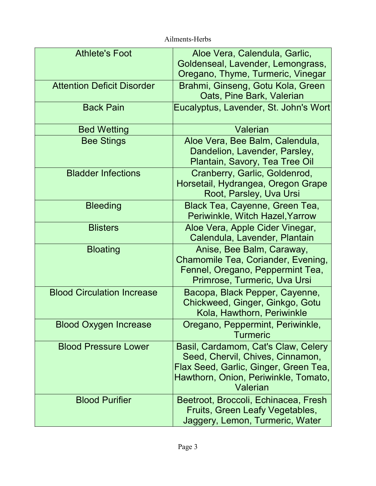| <b>Athlete's Foot</b>             | Aloe Vera, Calendula, Garlic,<br>Goldenseal, Lavender, Lemongrass,                                                                                                   |
|-----------------------------------|----------------------------------------------------------------------------------------------------------------------------------------------------------------------|
|                                   | Oregano, Thyme, Turmeric, Vinegar                                                                                                                                    |
| <b>Attention Deficit Disorder</b> | Brahmi, Ginseng, Gotu Kola, Green<br>Oats, Pine Bark, Valerian                                                                                                       |
| <b>Back Pain</b>                  | Eucalyptus, Lavender, St. John's Wort                                                                                                                                |
| <b>Bed Wetting</b>                | Valerian                                                                                                                                                             |
| <b>Bee Stings</b>                 | Aloe Vera, Bee Balm, Calendula,<br>Dandelion, Lavender, Parsley,<br>Plantain, Savory, Tea Tree Oil                                                                   |
| <b>Bladder Infections</b>         | Cranberry, Garlic, Goldenrod,<br>Horsetail, Hydrangea, Oregon Grape<br>Root, Parsley, Uva Ursi                                                                       |
| <b>Bleeding</b>                   | Black Tea, Cayenne, Green Tea,<br>Periwinkle, Witch Hazel, Yarrow                                                                                                    |
| <b>Blisters</b>                   | Aloe Vera, Apple Cider Vinegar,<br>Calendula, Lavender, Plantain                                                                                                     |
| <b>Bloating</b>                   | Anise, Bee Balm, Caraway,<br>Chamomile Tea, Coriander, Evening,<br>Fennel, Oregano, Peppermint Tea,<br>Primrose, Turmeric, Uva Ursi                                  |
| <b>Blood Circulation Increase</b> | Bacopa, Black Pepper, Cayenne,<br>Chickweed, Ginger, Ginkgo, Gotu<br>Kola, Hawthorn, Periwinkle                                                                      |
| <b>Blood Oxygen Increase</b>      | Oregano, Peppermint, Periwinkle,<br><b>Turmeric</b>                                                                                                                  |
| <b>Blood Pressure Lower</b>       | Basil, Cardamom, Cat's Claw, Celery<br>Seed, Chervil, Chives, Cinnamon,<br>Flax Seed, Garlic, Ginger, Green Tea,<br>Hawthorn, Onion, Periwinkle, Tomato,<br>Valerian |
| <b>Blood Purifier</b>             | Beetroot, Broccoli, Echinacea, Fresh<br>Fruits, Green Leafy Vegetables,<br>Jaggery, Lemon, Turmeric, Water                                                           |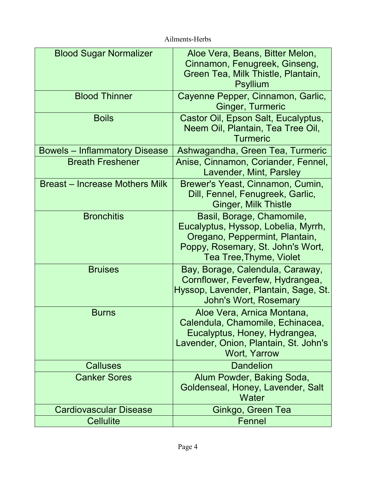| <b>Blood Sugar Normalizer</b>         | Aloe Vera, Beans, Bitter Melon,<br>Cinnamon, Fenugreek, Ginseng,<br>Green Tea, Milk Thistle, Plantain,<br><b>Psyllium</b>                                          |
|---------------------------------------|--------------------------------------------------------------------------------------------------------------------------------------------------------------------|
| <b>Blood Thinner</b>                  | Cayenne Pepper, Cinnamon, Garlic,<br><b>Ginger, Turmeric</b>                                                                                                       |
| <b>Boils</b>                          | Castor Oil, Epson Salt, Eucalyptus,<br>Neem Oil, Plantain, Tea Tree Oil,<br><b>Turmeric</b>                                                                        |
| <b>Bowels – Inflammatory Disease</b>  | Ashwagandha, Green Tea, Turmeric                                                                                                                                   |
| <b>Breath Freshener</b>               | Anise, Cinnamon, Coriander, Fennel,<br>Lavender, Mint, Parsley                                                                                                     |
| <b>Breast – Increase Mothers Milk</b> | Brewer's Yeast, Cinnamon, Cumin,<br>Dill, Fennel, Fenugreek, Garlic,<br><b>Ginger, Milk Thistle</b>                                                                |
| <b>Bronchitis</b>                     | Basil, Borage, Chamomile,<br>Eucalyptus, Hyssop, Lobelia, Myrrh,<br>Oregano, Peppermint, Plantain,<br>Poppy, Rosemary, St. John's Wort,<br>Tea Tree, Thyme, Violet |
| <b>Bruises</b>                        | Bay, Borage, Calendula, Caraway,<br>Cornflower, Feverfew, Hydrangea,<br>Hyssop, Lavender, Plantain, Sage, St.<br><b>John's Wort, Rosemary</b>                      |
| <b>Burns</b>                          | Aloe Vera, Arnica Montana,<br>Calendula, Chamomile, Echinacea,<br>Eucalyptus, Honey, Hydrangea,<br>Lavender, Onion, Plantain, St. John's<br>Wort, Yarrow           |
| <b>Calluses</b>                       | <b>Dandelion</b>                                                                                                                                                   |
| <b>Canker Sores</b>                   | Alum Powder, Baking Soda,<br>Goldenseal, Honey, Lavender, Salt<br>Water                                                                                            |
| <b>Cardiovascular Disease</b>         | Ginkgo, Green Tea                                                                                                                                                  |
| <b>Cellulite</b>                      | Fennel                                                                                                                                                             |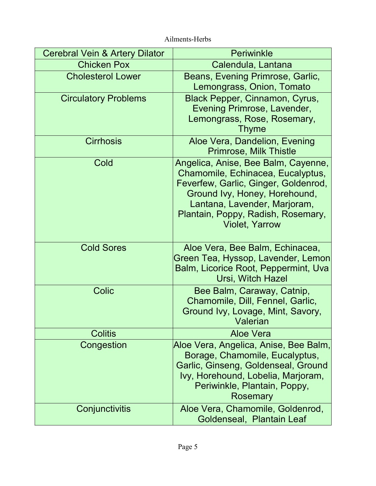| Cerebral Vein & Artery Dilator | <b>Periwinkle</b>                                                                                                                                                                                                                                |
|--------------------------------|--------------------------------------------------------------------------------------------------------------------------------------------------------------------------------------------------------------------------------------------------|
| <b>Chicken Pox</b>             | Calendula, Lantana                                                                                                                                                                                                                               |
| <b>Cholesterol Lower</b>       | Beans, Evening Primrose, Garlic,<br>Lemongrass, Onion, Tomato                                                                                                                                                                                    |
| <b>Circulatory Problems</b>    | Black Pepper, Cinnamon, Cyrus,<br>Evening Primrose, Lavender,<br>Lemongrass, Rose, Rosemary,<br>Thyme                                                                                                                                            |
| <b>Cirrhosis</b>               | Aloe Vera, Dandelion, Evening<br><b>Primrose, Milk Thistle</b>                                                                                                                                                                                   |
| Cold                           | Angelica, Anise, Bee Balm, Cayenne,<br>Chamomile, Echinacea, Eucalyptus,<br>Feverfew, Garlic, Ginger, Goldenrod,<br>Ground Ivy, Honey, Horehound,<br>Lantana, Lavender, Marjoram,<br>Plantain, Poppy, Radish, Rosemary,<br><b>Violet, Yarrow</b> |
| <b>Cold Sores</b>              | Aloe Vera, Bee Balm, Echinacea,<br>Green Tea, Hyssop, Lavender, Lemon<br>Balm, Licorice Root, Peppermint, Uva<br>Ursi, Witch Hazel                                                                                                               |
| <b>Colic</b>                   | Bee Balm, Caraway, Catnip,<br>Chamomile, Dill, Fennel, Garlic,<br>Ground Ivy, Lovage, Mint, Savory,<br><b>1999 - Valerian</b>                                                                                                                    |
| <b>Colitis</b>                 | <b>Aloe Vera</b>                                                                                                                                                                                                                                 |
| <b>Congestion</b>              | Aloe Vera, Angelica, Anise, Bee Balm,<br>Borage, Chamomile, Eucalyptus,<br>Garlic, Ginseng, Goldenseal, Ground<br>Ivy, Horehound, Lobelia, Marjoram,<br>Periwinkle, Plantain, Poppy,<br>Rosemary                                                 |
| Conjunctivitis                 | Aloe Vera, Chamomile, Goldenrod,<br>Goldenseal, Plantain Leaf                                                                                                                                                                                    |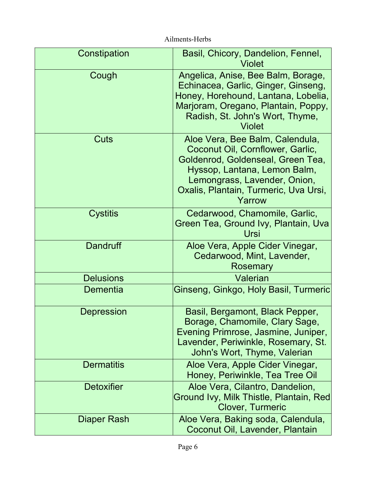| Constipation       | Basil, Chicory, Dandelion, Fennel,<br>Violet                                                                                                                                                                                |
|--------------------|-----------------------------------------------------------------------------------------------------------------------------------------------------------------------------------------------------------------------------|
| Cough              | Angelica, Anise, Bee Balm, Borage,<br>Echinacea, Garlic, Ginger, Ginseng,<br>Honey, Horehound, Lantana, Lobelia,<br>Marjoram, Oregano, Plantain, Poppy,<br>Radish, St. John's Wort, Thyme,<br><b>Violet</b>                 |
| Cuts               | Aloe Vera, Bee Balm, Calendula,<br>Coconut Oil, Cornflower, Garlic,<br>Goldenrod, Goldenseal, Green Tea,<br>Hyssop, Lantana, Lemon Balm,<br>Lemongrass, Lavender, Onion,<br>Oxalis, Plantain, Turmeric, Uva Ursi,<br>Yarrow |
| <b>Cystitis</b>    | Cedarwood, Chamomile, Garlic,<br>Green Tea, Ground Ivy, Plantain, Uva<br>Ursi                                                                                                                                               |
| <b>Dandruff</b>    | Aloe Vera, Apple Cider Vinegar,<br>Cedarwood, Mint, Lavender,<br>Rosemary                                                                                                                                                   |
| <b>Delusions</b>   | <b>Valerian</b>                                                                                                                                                                                                             |
| <b>Dementia</b>    | Ginseng, Ginkgo, Holy Basil, Turmeric                                                                                                                                                                                       |
| <b>Depression</b>  | Basil, Bergamont, Black Pepper,<br>Borage, Chamomile, Clary Sage,<br>Evening Primrose, Jasmine, Juniper,<br>Lavender, Periwinkle, Rosemary, St.<br>John's Wort, Thyme, Valerian                                             |
| <b>Dermatitis</b>  | Aloe Vera, Apple Cider Vinegar,<br>Honey, Periwinkle, Tea Tree Oil                                                                                                                                                          |
| <b>Detoxifier</b>  | Aloe Vera, Cilantro, Dandelion,<br>Ground Ivy, Milk Thistle, Plantain, Red<br><b>Clover, Turmeric</b>                                                                                                                       |
| <b>Diaper Rash</b> | Aloe Vera, Baking soda, Calendula,<br>Coconut Oil, Lavender, Plantain                                                                                                                                                       |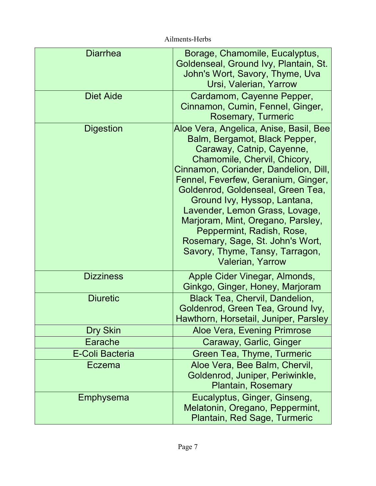| <b>Diarrhea</b>        | Borage, Chamomile, Eucalyptus,<br>Goldenseal, Ground Ivy, Plantain, St.<br>John's Wort, Savory, Thyme, Uva<br>Ursi, Valerian, Yarrow                                                                                                                                                                                                                                                                                                                                                            |
|------------------------|-------------------------------------------------------------------------------------------------------------------------------------------------------------------------------------------------------------------------------------------------------------------------------------------------------------------------------------------------------------------------------------------------------------------------------------------------------------------------------------------------|
| <b>Diet Aide</b>       | Cardamom, Cayenne Pepper,<br>Cinnamon, Cumin, Fennel, Ginger,<br><b>Rosemary, Turmeric</b>                                                                                                                                                                                                                                                                                                                                                                                                      |
| <b>Digestion</b>       | Aloe Vera, Angelica, Anise, Basil, Bee<br>Balm, Bergamot, Black Pepper,<br>Caraway, Catnip, Cayenne,<br>Chamomile, Chervil, Chicory,<br>Cinnamon, Coriander, Dandelion, Dill,<br>Fennel, Feverfew, Geranium, Ginger,<br>Goldenrod, Goldenseal, Green Tea,<br>Ground Ivy, Hyssop, Lantana,<br>Lavender, Lemon Grass, Lovage,<br>Marjoram, Mint, Oregano, Parsley,<br>Peppermint, Radish, Rose,<br>Rosemary, Sage, St. John's Wort,<br>Savory, Thyme, Tansy, Tarragon,<br><b>Valerian, Yarrow</b> |
| <b>Dizziness</b>       | Apple Cider Vinegar, Almonds,<br>Ginkgo, Ginger, Honey, Marjoram                                                                                                                                                                                                                                                                                                                                                                                                                                |
| <b>Diuretic</b>        | <b>Black Tea, Chervil, Dandelion,</b><br>Goldenrod, Green Tea, Ground Ivy,<br>Hawthorn, Horsetail, Juniper, Parsley                                                                                                                                                                                                                                                                                                                                                                             |
| Dry Skin               | Aloe Vera, Evening Primrose                                                                                                                                                                                                                                                                                                                                                                                                                                                                     |
| Earache                | Caraway, Garlic, Ginger                                                                                                                                                                                                                                                                                                                                                                                                                                                                         |
| <b>E-Coli Bacteria</b> | Green Tea, Thyme, Turmeric                                                                                                                                                                                                                                                                                                                                                                                                                                                                      |
| Eczema                 | Aloe Vera, Bee Balm, Chervil,<br>Goldenrod, Juniper, Periwinkle,<br><b>Plantain, Rosemary</b>                                                                                                                                                                                                                                                                                                                                                                                                   |
| Emphysema              | Eucalyptus, Ginger, Ginseng,<br>Melatonin, Oregano, Peppermint,<br>Plantain, Red Sage, Turmeric                                                                                                                                                                                                                                                                                                                                                                                                 |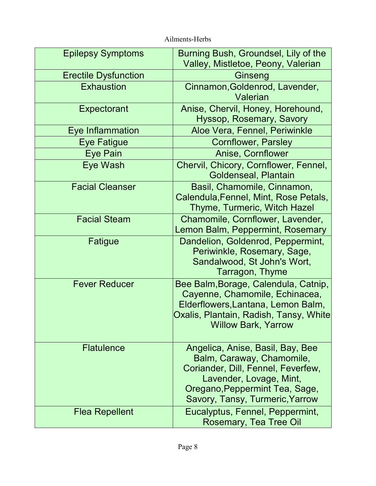Epilepsy Symptoms Erectile Dysfunction Conserver Ginseng **Exhaustion Expectorant** Eye Inflammation **Aloe Vera, Fennel, Periwinkle** Eye Fatigue **Cornflower**, Parsley Eye Pain Anise, Cornflower Eye Wash Facial Cleanser Facial Steam Fatigue Fever Reducer **Flatulence** Flea Repellent Burning Bush, Groundsel, Lily of the Valley, Mistletoe, Peony, Valerian Cinnamon,Goldenrod, Lavender, Valerian Anise, Chervil, Honey, Horehound, Hyssop, Rosemary, Savory Chervil, Chicory, Cornflower, Fennel, Goldenseal, Plantain Basil, Chamomile, Cinnamon, Calendula,Fennel, Mint, Rose Petals, Thyme, Turmeric, Witch Hazel Chamomile, Cornflower, Lavender, Lemon Balm, Peppermint, Rosemary Dandelion, Goldenrod, Peppermint, Periwinkle, Rosemary, Sage, Sandalwood, St John's Wort, Tarragon, Thyme Bee Balm,Borage, Calendula, Catnip, Cayenne, Chamomile, Echinacea, Elderflowers,Lantana, Lemon Balm, Oxalis, Plantain, Radish, Tansy, White Willow Bark, Yarrow Angelica, Anise, Basil, Bay, Bee Balm, Caraway, Chamomile, Coriander, Dill, Fennel, Feverfew, Lavender, Lovage, Mint, Oregano,Peppermint Tea, Sage, Savory, Tansy, Turmeric,Yarrow Eucalyptus, Fennel, Peppermint, Rosemary, Tea Tree Oil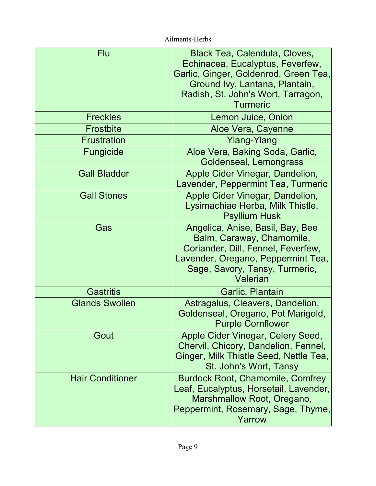| <b>Flu</b>              | <b>Black Tea, Calendula, Cloves,</b><br>Echinacea, Eucalyptus, Feverfew,<br>Garlic, Ginger, Goldenrod, Green Tea,<br>Ground Ivy, Lantana, Plantain,<br>Radish, St. John's Wort, Tarragon,<br><b>Turmeric</b> |
|-------------------------|--------------------------------------------------------------------------------------------------------------------------------------------------------------------------------------------------------------|
| <b>Freckles</b>         | Lemon Juice, Onion                                                                                                                                                                                           |
| <b>Frostbite</b>        | Aloe Vera, Cayenne                                                                                                                                                                                           |
| <b>Frustration</b>      | Ylang-Ylang                                                                                                                                                                                                  |
| Fungicide               | Aloe Vera, Baking Soda, Garlic,<br>Goldenseal, Lemongrass                                                                                                                                                    |
| <b>Gall Bladder</b>     | Apple Cider Vinegar, Dandelion,<br>Lavender, Peppermint Tea, Turmeric                                                                                                                                        |
| <b>Gall Stones</b>      | Apple Cider Vinegar, Dandelion,<br>Lysimachiae Herba, Milk Thistle,<br><b>Psyllium Husk</b>                                                                                                                  |
| Gas                     | Angelica, Anise, Basil, Bay, Bee<br>Balm, Caraway, Chamomile,<br>Coriander, Dill, Fennel, Feverfew,<br>Lavender, Oregano, Peppermint Tea,<br>Sage, Savory, Tansy, Turmeric,<br>Valerian                      |
| <b>Gastritis</b>        | Garlic, Plantain                                                                                                                                                                                             |
| <b>Glands Swollen</b>   | Astragalus, Cleavers, Dandelion,<br>Goldenseal, Oregano, Pot Marigold,<br><b>Purple Cornflower</b>                                                                                                           |
| Gout                    | Apple Cider Vinegar, Celery Seed,<br>Chervil, Chicory, Dandelion, Fennel,<br>Ginger, Milk Thistle Seed, Nettle Tea,<br>St. John's Wort, Tansy                                                                |
| <b>Hair Conditioner</b> | <b>Burdock Root, Chamomile, Comfrey</b><br>Leaf, Eucalyptus, Horsetail, Lavender,<br>Marshmallow Root, Oregano,<br>Peppermint, Rosemary, Sage, Thyme,<br>Yarrow                                              |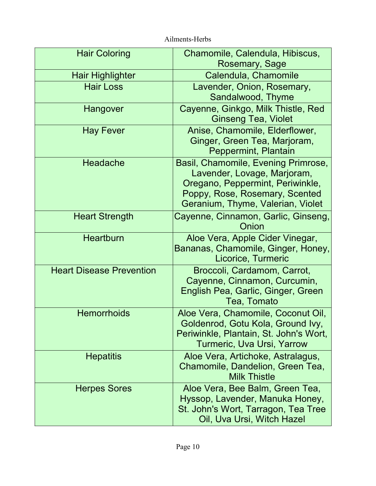| <b>Hair Coloring</b>            | Chamomile, Calendula, Hibiscus,<br>Rosemary, Sage                                                                                                                             |
|---------------------------------|-------------------------------------------------------------------------------------------------------------------------------------------------------------------------------|
| <b>Hair Highlighter</b>         | Calendula, Chamomile                                                                                                                                                          |
| <b>Hair Loss</b>                | Lavender, Onion, Rosemary,<br>Sandalwood, Thyme                                                                                                                               |
| Hangover                        | Cayenne, Ginkgo, Milk Thistle, Red<br><b>Ginseng Tea, Violet</b>                                                                                                              |
| <b>Hay Fever</b>                | Anise, Chamomile, Elderflower,<br>Ginger, Green Tea, Marjoram,<br>Peppermint, Plantain                                                                                        |
| Headache                        | Basil, Chamomile, Evening Primrose,<br>Lavender, Lovage, Marjoram,<br>Oregano, Peppermint, Periwinkle,<br>Poppy, Rose, Rosemary, Scented<br>Geranium, Thyme, Valerian, Violet |
| <b>Heart Strength</b>           | Cayenne, Cinnamon, Garlic, Ginseng,<br>Onion                                                                                                                                  |
| <b>Heartburn</b>                | Aloe Vera, Apple Cider Vinegar,<br>Bananas, Chamomile, Ginger, Honey,<br>Licorice, Turmeric                                                                                   |
| <b>Heart Disease Prevention</b> | Broccoli, Cardamom, Carrot,<br>Cayenne, Cinnamon, Curcumin,<br>English Pea, Garlic, Ginger, Green<br>Tea, Tomato                                                              |
| <b>Hemorrhoids</b>              | Aloe Vera, Chamomile, Coconut Oil,<br>Goldenrod, Gotu Kola, Ground Ivy,<br>Periwinkle, Plantain, St. John's Wort,<br>Turmeric, Uva Ursi, Yarrow                               |
| <b>Hepatitis</b>                | Aloe Vera, Artichoke, Astralagus,<br>Chamomile, Dandelion, Green Tea,<br><b>Milk Thistle</b>                                                                                  |
| <b>Herpes Sores</b>             | Aloe Vera, Bee Balm, Green Tea,<br>Hyssop, Lavender, Manuka Honey,<br>St. John's Wort, Tarragon, Tea Tree<br>Oil, Uva Ursi, Witch Hazel                                       |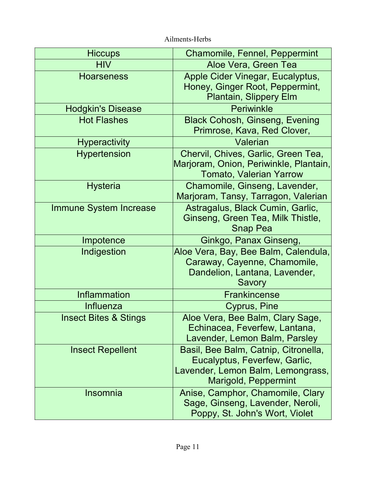| <b>Hiccups</b>                   | <b>Chamomile, Fennel, Peppermint</b>                                                                                                      |
|----------------------------------|-------------------------------------------------------------------------------------------------------------------------------------------|
| <b>HIV</b>                       | Aloe Vera, Green Tea                                                                                                                      |
| <b>Hoarseness</b>                | Apple Cider Vinegar, Eucalyptus,<br>Honey, Ginger Root, Peppermint,<br><b>Plantain, Slippery Elm</b>                                      |
| <b>Hodgkin's Disease</b>         | Periwinkle                                                                                                                                |
| <b>Hot Flashes</b>               | <b>Black Cohosh, Ginseng, Evening</b><br>Primrose, Kava, Red Clover,                                                                      |
| <b>Hyperactivity</b>             | Valerian                                                                                                                                  |
| <b>Hypertension</b>              | Chervil, Chives, Garlic, Green Tea,<br>Marjoram, Onion, Periwinkle, Plantain,<br><b>Tomato, Valerian Yarrow</b>                           |
| <b>Hysteria</b>                  | Chamomile, Ginseng, Lavender,<br>Marjoram, Tansy, Tarragon, Valerian                                                                      |
| <b>Immune System Increase</b>    | Astragalus, Black Cumin, Garlic,<br>Ginseng, Green Tea, Milk Thistle,<br><b>Snap Pea</b>                                                  |
| Impotence                        | Ginkgo, Panax Ginseng,                                                                                                                    |
| Indigestion                      | Aloe Vera, Bay, Bee Balm, Calendula,<br>Caraway, Cayenne, Chamomile,<br>Dandelion, Lantana, Lavender,<br>Savory                           |
| <b>Inflammation</b>              | <b>Frankincense</b>                                                                                                                       |
| Influenza                        | Cyprus, Pine                                                                                                                              |
| <b>Insect Bites &amp; Stings</b> | Aloe Vera, Bee Balm, Clary Sage,<br>Echinacea, Feverfew, Lantana,<br>Lavender, Lemon Balm, Parsley                                        |
| <b>Insect Repellent</b>          | Basil, Bee Balm, Catnip, Citronella,<br>Eucalyptus, Feverfew, Garlic,<br>Lavender, Lemon Balm, Lemongrass,<br><b>Marigold, Peppermint</b> |
| Insomnia                         | Anise, Camphor, Chamomile, Clary<br>Sage, Ginseng, Lavender, Neroli,<br>Poppy, St. John's Wort, Violet                                    |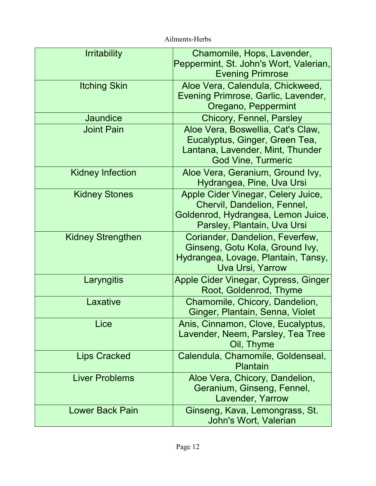| <b>Irritability</b>      | Chamomile, Hops, Lavender,<br>Peppermint, St. John's Wort, Valerian,<br><b>Evening Primrose</b>                                        |
|--------------------------|----------------------------------------------------------------------------------------------------------------------------------------|
| <b>Itching Skin</b>      | Aloe Vera, Calendula, Chickweed,<br>Evening Primrose, Garlic, Lavender,<br>Oregano, Peppermint                                         |
| Jaundice                 | <b>Chicory, Fennel, Parsley</b>                                                                                                        |
| <b>Joint Pain</b>        | Aloe Vera, Boswellia, Cat's Claw,<br>Eucalyptus, Ginger, Green Tea,<br>Lantana, Lavender, Mint, Thunder<br><b>God Vine, Turmeric</b>   |
| <b>Kidney Infection</b>  | Aloe Vera, Geranium, Ground Ivy,<br>Hydrangea, Pine, Uva Ursi                                                                          |
| <b>Kidney Stones</b>     | Apple Cider Vinegar, Celery Juice,<br>Chervil, Dandelion, Fennel,<br>Goldenrod, Hydrangea, Lemon Juice,<br>Parsley, Plantain, Uva Ursi |
| <b>Kidney Strengthen</b> | Coriander, Dandelion, Feverfew,<br>Ginseng, Gotu Kola, Ground Ivy,<br>Hydrangea, Lovage, Plantain, Tansy,<br><b>Uva Ursi, Yarrow</b>   |
| Laryngitis               | Apple Cider Vinegar, Cypress, Ginger<br>Root, Goldenrod, Thyme                                                                         |
| Laxative                 | Chamomile, Chicory, Dandelion,<br>Ginger, Plantain, Senna, Violet                                                                      |
| Lice                     | Anis, Cinnamon, Clove, Eucalyptus,<br>Lavender, Neem, Parsley, Tea Tree<br>Oil, Thyme                                                  |
| <b>Lips Cracked</b>      | Calendula, Chamomile, Goldenseal,<br>Plantain                                                                                          |
| <b>Liver Problems</b>    | Aloe Vera, Chicory, Dandelion,<br>Geranium, Ginseng, Fennel,<br>Lavender, Yarrow                                                       |
| <b>Lower Back Pain</b>   | Ginseng, Kava, Lemongrass, St.<br>John's Wort, Valerian                                                                                |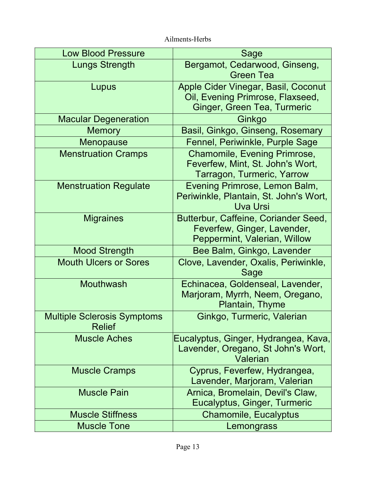| <b>Low Blood Pressure</b>                           | <b>Sage</b>                                                                                            |
|-----------------------------------------------------|--------------------------------------------------------------------------------------------------------|
| <b>Lungs Strength</b>                               | Bergamot, Cedarwood, Ginseng,<br><b>Green Tea</b>                                                      |
| Lupus                                               | Apple Cider Vinegar, Basil, Coconut<br>Oil, Evening Primrose, Flaxseed,<br>Ginger, Green Tea, Turmeric |
| <b>Macular Degeneration</b>                         | Ginkgo                                                                                                 |
| <b>Memory</b>                                       | Basil, Ginkgo, Ginseng, Rosemary                                                                       |
| Menopause                                           | Fennel, Periwinkle, Purple Sage                                                                        |
| <b>Menstruation Cramps</b>                          | <b>Chamomile, Evening Primrose,</b><br>Feverfew, Mint, St. John's Wort,<br>Tarragon, Turmeric, Yarrow  |
| <b>Menstruation Regulate</b>                        | Evening Primrose, Lemon Balm,<br>Periwinkle, Plantain, St. John's Wort,<br><b>Uva Ursi</b>             |
| <b>Migraines</b>                                    | Butterbur, Caffeine, Coriander Seed,<br>Feverfew, Ginger, Lavender,<br>Peppermint, Valerian, Willow    |
| <b>Mood Strength</b>                                | Bee Balm, Ginkgo, Lavender                                                                             |
| <b>Mouth Ulcers or Sores</b>                        | Clove, Lavender, Oxalis, Periwinkle,<br>Sage                                                           |
| <b>Mouthwash</b>                                    | Echinacea, Goldenseal, Lavender,<br>Marjoram, Myrrh, Neem, Oregano,<br>Plantain, Thyme                 |
| <b>Multiple Sclerosis Symptoms</b><br><b>Relief</b> | Ginkgo, Turmeric, Valerian                                                                             |
| <b>Muscle Aches</b>                                 | Eucalyptus, Ginger, Hydrangea, Kava,<br>Lavender, Oregano, St John's Wort,<br>Valerian                 |
| <b>Muscle Cramps</b>                                | Cyprus, Feverfew, Hydrangea,<br>Lavender, Marjoram, Valerian                                           |
| <b>Muscle Pain</b>                                  | Arnica, Bromelain, Devil's Claw,<br>Eucalyptus, Ginger, Turmeric                                       |
| <b>Muscle Stiffness</b>                             | <b>Chamomile, Eucalyptus</b>                                                                           |
| <b>Muscle Tone</b>                                  | Lemongrass                                                                                             |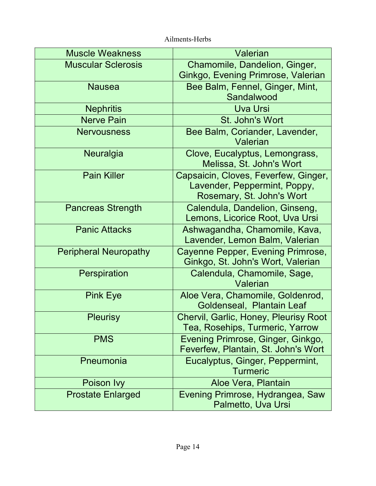| <b>Muscle Weakness</b>       | Valerian                                                                                          |
|------------------------------|---------------------------------------------------------------------------------------------------|
| <b>Muscular Sclerosis</b>    | Chamomile, Dandelion, Ginger,<br>Ginkgo, Evening Primrose, Valerian                               |
| <b>Nausea</b>                | Bee Balm, Fennel, Ginger, Mint,<br>Sandalwood                                                     |
| <b>Nephritis</b>             | <b>Uva Ursi</b>                                                                                   |
| <b>Nerve Pain</b>            | St. John's Wort                                                                                   |
| <b>Nervousness</b>           | Bee Balm, Coriander, Lavender,<br>Valerian                                                        |
| Neuralgia                    | Clove, Eucalyptus, Lemongrass,<br>Melissa, St. John's Wort                                        |
| <b>Pain Killer</b>           | Capsaicin, Cloves, Feverfew, Ginger,<br>Lavender, Peppermint, Poppy,<br>Rosemary, St. John's Wort |
| <b>Pancreas Strength</b>     | Calendula, Dandelion, Ginseng,<br>Lemons, Licorice Root, Uva Ursi                                 |
| <b>Panic Attacks</b>         | Ashwagandha, Chamomile, Kava,<br>Lavender, Lemon Balm, Valerian                                   |
| <b>Peripheral Neuropathy</b> | Cayenne Pepper, Evening Primrose,<br>Ginkgo, St. John's Wort, Valerian                            |
| Perspiration                 | Calendula, Chamomile, Sage,<br>Valerian                                                           |
| <b>Pink Eye</b>              | Aloe Vera, Chamomile, Goldenrod,<br>Goldenseal, Plantain Leaf                                     |
| <b>Pleurisy</b>              | Chervil, Garlic, Honey, Pleurisy Root<br>Tea, Rosehips, Turmeric, Yarrow                          |
| <b>PMS</b>                   | Evening Primrose, Ginger, Ginkgo,<br>Feverfew, Plantain, St. John's Wort                          |
| Pneumonia                    | Eucalyptus, Ginger, Peppermint,<br><b>Turmeric</b>                                                |
| Poison Ivy                   | Aloe Vera, Plantain                                                                               |
| <b>Prostate Enlarged</b>     | Evening Primrose, Hydrangea, Saw<br>Palmetto, Uva Ursi                                            |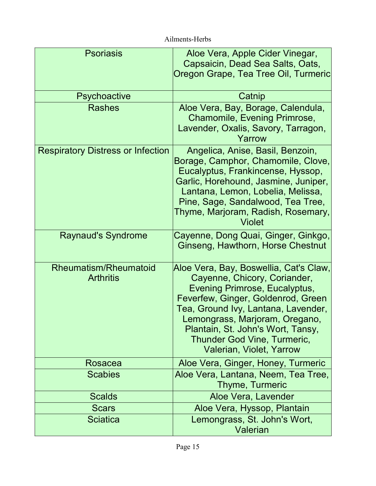| <b>Psoriasis</b>                                 | Aloe Vera, Apple Cider Vinegar,<br>Capsaicin, Dead Sea Salts, Oats,<br>Oregon Grape, Tea Tree Oil, Turmeric                                                                                                                                                                                                            |
|--------------------------------------------------|------------------------------------------------------------------------------------------------------------------------------------------------------------------------------------------------------------------------------------------------------------------------------------------------------------------------|
| <b>Psychoactive</b>                              | Catnip                                                                                                                                                                                                                                                                                                                 |
| <b>Rashes</b>                                    | Aloe Vera, Bay, Borage, Calendula,<br>Chamomile, Evening Primrose,<br>Lavender, Oxalis, Savory, Tarragon,<br>Yarrow                                                                                                                                                                                                    |
| <b>Respiratory Distress or Infection</b>         | Angelica, Anise, Basil, Benzoin,<br>Borage, Camphor, Chamomile, Clove,<br>Eucalyptus, Frankincense, Hyssop,<br>Garlic, Horehound, Jasmine, Juniper,<br>Lantana, Lemon, Lobelia, Melissa,<br>Pine, Sage, Sandalwood, Tea Tree,<br>Thyme, Marjoram, Radish, Rosemary,<br><b>Violet</b>                                   |
| <b>Raynaud's Syndrome</b>                        | Cayenne, Dong Quai, Ginger, Ginkgo,<br>Ginseng, Hawthorn, Horse Chestnut                                                                                                                                                                                                                                               |
| <b>Rheumatism/Rheumatoid</b><br><b>Arthritis</b> | Aloe Vera, Bay, Boswellia, Cat's Claw,<br>Cayenne, Chicory, Coriander,<br>Evening Primrose, Eucalyptus,<br>Feverfew, Ginger, Goldenrod, Green<br>Tea, Ground Ivy, Lantana, Lavender,<br>Lemongrass, Marjoram, Oregano,<br>Plantain, St. John's Wort, Tansy,<br>Thunder God Vine, Turmeric,<br>Valerian, Violet, Yarrow |
| Rosacea                                          | Aloe Vera, Ginger, Honey, Turmeric                                                                                                                                                                                                                                                                                     |
| <b>Scabies</b>                                   | Aloe Vera, Lantana, Neem, Tea Tree,<br>Thyme, Turmeric                                                                                                                                                                                                                                                                 |
| <b>Scalds</b>                                    | Aloe Vera, Lavender                                                                                                                                                                                                                                                                                                    |
| <b>Scars</b>                                     | Aloe Vera, Hyssop, Plantain                                                                                                                                                                                                                                                                                            |
| <b>Sciatica</b>                                  | Lemongrass, St. John's Wort,<br>Valerian                                                                                                                                                                                                                                                                               |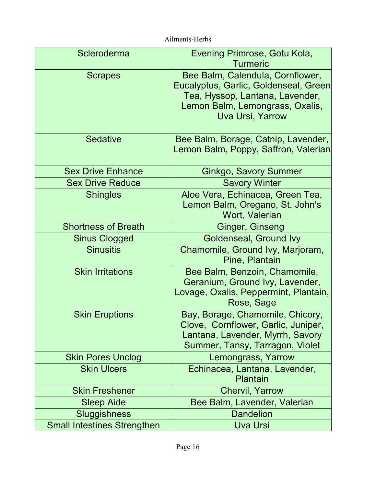| Scleroderma                        | Evening Primrose, Gotu Kola,<br><b>Turmeric</b>                                                                                                                            |
|------------------------------------|----------------------------------------------------------------------------------------------------------------------------------------------------------------------------|
| <b>Scrapes</b>                     | Bee Balm, Calendula, Cornflower,<br>Eucalyptus, Garlic, Goldenseal, Green<br>Tea, Hyssop, Lantana, Lavender,<br>Lemon Balm, Lemongrass, Oxalis,<br><b>Uva Ursi, Yarrow</b> |
| <b>Sedative</b>                    | Bee Balm, Borage, Catnip, Lavender,<br>Lemon Balm, Poppy, Saffron, Valerian                                                                                                |
| <b>Sex Drive Enhance</b>           | <b>Ginkgo, Savory Summer</b>                                                                                                                                               |
| <b>Sex Drive Reduce</b>            | <b>Savory Winter</b>                                                                                                                                                       |
| <b>Shingles</b>                    | Aloe Vera, Echinacea, Green Tea,<br>Lemon Balm, Oregano, St. John's<br>Wort, Valerian                                                                                      |
| <b>Shortness of Breath</b>         | Ginger, Ginseng                                                                                                                                                            |
| <b>Sinus Clogged</b>               | <b>Goldenseal, Ground Ivy</b>                                                                                                                                              |
| <b>Sinusitis</b>                   | Chamomile, Ground Ivy, Marjoram,<br>Pine, Plantain                                                                                                                         |
| <b>Skin Irritations</b>            | Bee Balm, Benzoin, Chamomile,<br>Geranium, Ground Ivy, Lavender,<br>Lovage, Oxalis, Peppermint, Plantain,<br>Rose, Sage                                                    |
| <b>Skin Eruptions</b>              | Bay, Borage, Chamomile, Chicory,<br>Clove, Cornflower, Garlic, Juniper,<br>Lantana, Lavender, Myrrh, Savory<br>Summer, Tansy, Tarragon, Violet                             |
| <b>Skin Pores Unclog</b>           | Lemongrass, Yarrow                                                                                                                                                         |
| <b>Skin Ulcers</b>                 | Echinacea, Lantana, Lavender,<br><b>Plantain</b>                                                                                                                           |
| <b>Skin Freshener</b>              | <b>Chervil, Yarrow</b>                                                                                                                                                     |
| <b>Sleep Aide</b>                  | Bee Balm, Lavender, Valerian                                                                                                                                               |
| <b>Sluggishness</b>                | <b>Dandelion</b>                                                                                                                                                           |
| <b>Small Intestines Strengthen</b> | <b>Uva Ursi</b>                                                                                                                                                            |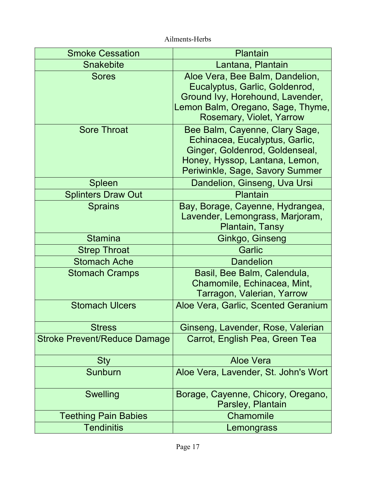| <b>Smoke Cessation</b>              | Plantain                                                                                                                                                                |
|-------------------------------------|-------------------------------------------------------------------------------------------------------------------------------------------------------------------------|
| <b>Snakebite</b>                    | Lantana, Plantain                                                                                                                                                       |
| <b>Sores</b>                        | Aloe Vera, Bee Balm, Dandelion,<br>Eucalyptus, Garlic, Goldenrod,<br>Ground Ivy, Horehound, Lavender,<br>Lemon Balm, Oregano, Sage, Thyme,<br>Rosemary, Violet, Yarrow  |
| <b>Sore Throat</b>                  | Bee Balm, Cayenne, Clary Sage,<br>Echinacea, Eucalyptus, Garlic,<br>Ginger, Goldenrod, Goldenseal,<br>Honey, Hyssop, Lantana, Lemon,<br>Periwinkle, Sage, Savory Summer |
| <b>Spleen</b>                       | Dandelion, Ginseng, Uva Ursi                                                                                                                                            |
| <b>Splinters Draw Out</b>           | Plantain                                                                                                                                                                |
| <b>Sprains</b>                      | Bay, Borage, Cayenne, Hydrangea,<br>Lavender, Lemongrass, Marjoram,<br>Plantain, Tansy                                                                                  |
| <b>Stamina</b>                      | Ginkgo, Ginseng                                                                                                                                                         |
| <b>Strep Throat</b>                 | Garlic                                                                                                                                                                  |
| <b>Stomach Ache</b>                 | <b>Dandelion</b>                                                                                                                                                        |
| <b>Stomach Cramps</b>               | Basil, Bee Balm, Calendula,<br>Chamomile, Echinacea, Mint,<br>Tarragon, Valerian, Yarrow                                                                                |
| <b>Stomach Ulcers</b>               | Aloe Vera, Garlic, Scented Geranium                                                                                                                                     |
| <b>Stress</b>                       | Ginseng, Lavender, Rose, Valerian                                                                                                                                       |
| <b>Stroke Prevent/Reduce Damage</b> | Carrot, English Pea, Green Tea                                                                                                                                          |
| <b>Sty</b>                          | Aloe Vera                                                                                                                                                               |
| <b>Sunburn</b>                      | Aloe Vera, Lavender, St. John's Wort                                                                                                                                    |
| <b>Swelling</b>                     | Borage, Cayenne, Chicory, Oregano,<br>Parsley, Plantain                                                                                                                 |
| <b>Teething Pain Babies</b>         | Chamomile                                                                                                                                                               |
| <b>Tendinitis</b>                   | Lemongrass                                                                                                                                                              |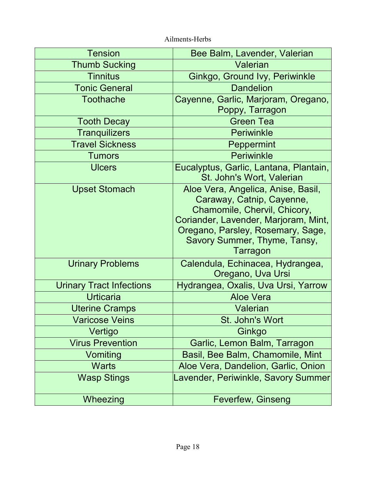| <b>Tension</b>                  | Bee Balm, Lavender, Valerian                                                                                                                                                                                             |
|---------------------------------|--------------------------------------------------------------------------------------------------------------------------------------------------------------------------------------------------------------------------|
| <b>Thumb Sucking</b>            | Valerian                                                                                                                                                                                                                 |
| <b>Tinnitus</b>                 | Ginkgo, Ground Ivy, Periwinkle                                                                                                                                                                                           |
| <b>Tonic General</b>            | <b>Dandelion</b>                                                                                                                                                                                                         |
| <b>Toothache</b>                | Cayenne, Garlic, Marjoram, Oregano,<br>Poppy, Tarragon                                                                                                                                                                   |
| <b>Tooth Decay</b>              | <b>Green Tea</b>                                                                                                                                                                                                         |
| <b>Tranquilizers</b>            | <b>Periwinkle</b>                                                                                                                                                                                                        |
| <b>Travel Sickness</b>          | Peppermint                                                                                                                                                                                                               |
| <b>Tumors</b>                   | <b>Periwinkle</b>                                                                                                                                                                                                        |
| <b>Ulcers</b>                   | Eucalyptus, Garlic, Lantana, Plantain,<br>St. John's Wort, Valerian                                                                                                                                                      |
| <b>Upset Stomach</b>            | Aloe Vera, Angelica, Anise, Basil,<br>Caraway, Catnip, Cayenne,<br>Chamomile, Chervil, Chicory,<br>Coriander, Lavender, Marjoram, Mint,<br>Oregano, Parsley, Rosemary, Sage,<br>Savory Summer, Thyme, Tansy,<br>Tarragon |
| <b>Urinary Problems</b>         | Calendula, Echinacea, Hydrangea,<br>Oregano, Uva Ursi                                                                                                                                                                    |
| <b>Urinary Tract Infections</b> | Hydrangea, Oxalis, Uva Ursi, Yarrow                                                                                                                                                                                      |
| <b>Urticaria</b>                | <b>Aloe Vera</b>                                                                                                                                                                                                         |
| <b>Uterine Cramps</b>           | <b>Valerian</b>                                                                                                                                                                                                          |
| <b>Varicose Veins</b>           | St. John's Wort                                                                                                                                                                                                          |
| Vertigo                         | Ginkgo                                                                                                                                                                                                                   |
| <b>Virus Prevention</b>         | Garlic, Lemon Balm, Tarragon                                                                                                                                                                                             |
| Vomiting                        | Basil, Bee Balm, Chamomile, Mint                                                                                                                                                                                         |
| <b>Warts</b>                    | Aloe Vera, Dandelion, Garlic, Onion                                                                                                                                                                                      |
| <b>Wasp Stings</b>              | Lavender, Periwinkle, Savory Summer                                                                                                                                                                                      |
| Wheezing                        | <b>Feverfew, Ginseng</b>                                                                                                                                                                                                 |